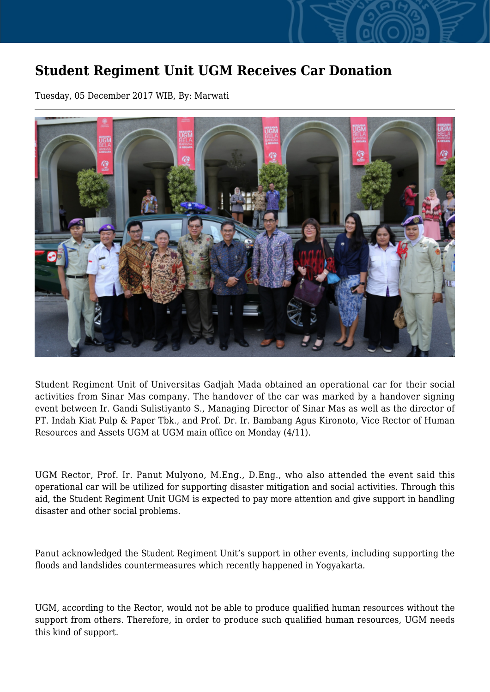## **Student Regiment Unit UGM Receives Car Donation**

Tuesday, 05 December 2017 WIB, By: Marwati



Student Regiment Unit of Universitas Gadjah Mada obtained an operational car for their social activities from Sinar Mas company. The handover of the car was marked by a handover signing event between Ir. Gandi Sulistiyanto S., Managing Director of Sinar Mas as well as the director of PT. Indah Kiat Pulp & Paper Tbk., and Prof. Dr. Ir. Bambang Agus Kironoto, Vice Rector of Human Resources and Assets UGM at UGM main office on Monday (4/11).

UGM Rector, Prof. Ir. Panut Mulyono, M.Eng., D.Eng., who also attended the event said this operational car will be utilized for supporting disaster mitigation and social activities. Through this aid, the Student Regiment Unit UGM is expected to pay more attention and give support in handling disaster and other social problems.

Panut acknowledged the Student Regiment Unit's support in other events, including supporting the floods and landslides countermeasures which recently happened in Yogyakarta.

UGM, according to the Rector, would not be able to produce qualified human resources without the support from others. Therefore, in order to produce such qualified human resources, UGM needs this kind of support.